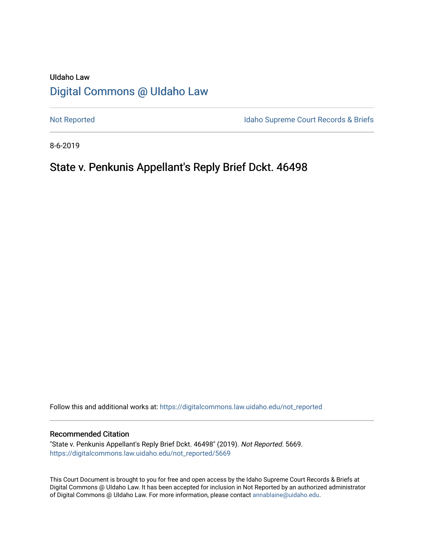# UIdaho Law [Digital Commons @ UIdaho Law](https://digitalcommons.law.uidaho.edu/)

[Not Reported](https://digitalcommons.law.uidaho.edu/not_reported) **Idaho Supreme Court Records & Briefs** 

8-6-2019

# State v. Penkunis Appellant's Reply Brief Dckt. 46498

Follow this and additional works at: [https://digitalcommons.law.uidaho.edu/not\\_reported](https://digitalcommons.law.uidaho.edu/not_reported?utm_source=digitalcommons.law.uidaho.edu%2Fnot_reported%2F5669&utm_medium=PDF&utm_campaign=PDFCoverPages) 

#### Recommended Citation

"State v. Penkunis Appellant's Reply Brief Dckt. 46498" (2019). Not Reported. 5669. [https://digitalcommons.law.uidaho.edu/not\\_reported/5669](https://digitalcommons.law.uidaho.edu/not_reported/5669?utm_source=digitalcommons.law.uidaho.edu%2Fnot_reported%2F5669&utm_medium=PDF&utm_campaign=PDFCoverPages)

This Court Document is brought to you for free and open access by the Idaho Supreme Court Records & Briefs at Digital Commons @ UIdaho Law. It has been accepted for inclusion in Not Reported by an authorized administrator of Digital Commons @ UIdaho Law. For more information, please contact [annablaine@uidaho.edu](mailto:annablaine@uidaho.edu).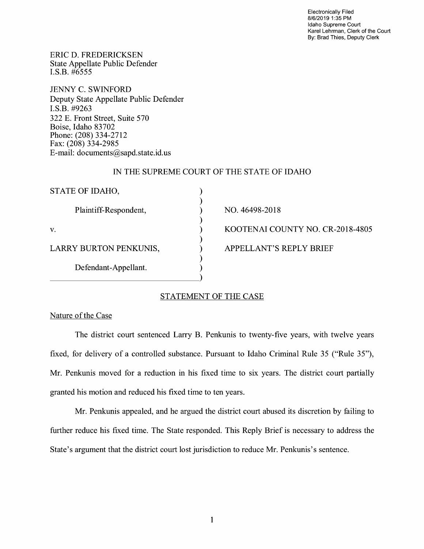Electronically Filed 8/6/2019 1:35 PM Idaho Supreme Court Karel Lehrman, Clerk of the Court By: Brad Thies, Deputy Clerk

ERIC D. FREDERICKSEN State Appellate Public Defender I.S.B. #6555

JENNY C. SWINFORD Deputy State Appellate Public Defender I.S.B. #9263 322 E. Front Street, Suite 570 Boise, Idaho 83702 Phone: (208) 334-2712 Fax: (208) 334-2985 E-mail: documents@sapd.state.id. us

### IN THE SUPREME COURT OF THE STATE OF IDAHO

| STATE OF IDAHO,        |                                  |
|------------------------|----------------------------------|
| Plaintiff-Respondent,  | NO. 46498-2018                   |
| v.                     | KOOTENAI COUNTY NO. CR-2018-4805 |
| LARRY BURTON PENKUNIS, | <b>APPELLANT'S REPLY BRIEF</b>   |
| Defendant-Appellant.   |                                  |
|                        |                                  |

# STATEMENT OF THE CASE

#### Nature of the Case

The district court sentenced Larry B. Penkunis to twenty-five years, with twelve years fixed, for delivery of a controlled substance. Pursuant to Idaho Criminal Rule 35 ("Rule 35"), Mr. Penkunis moved for a reduction in his fixed time to six years. The district court partially granted his motion and reduced his fixed time to ten years.

Mr. Penkunis appealed, and he argued the district court abused its discretion by failing to further reduce his fixed time. The State responded. This Reply Brief is necessary to address the State's argument that the district court lost jurisdiction to reduce Mr. Penkunis's sentence.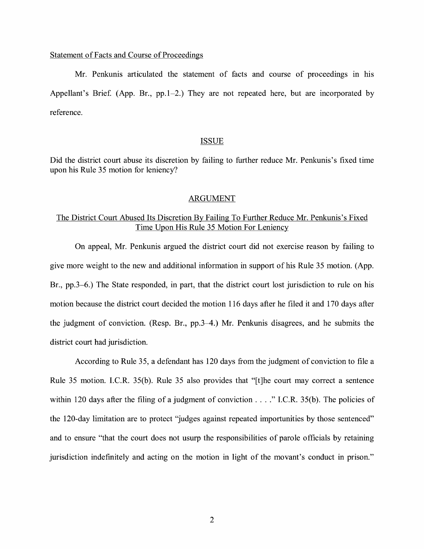#### Statement of Facts and Course of Proceedings

Mr. Penkunis articulated the statement of facts and course of proceedings in his Appellant's Brief. (App. Br., pp.1–2.) They are not repeated here, but are incorporated by reference.

#### ISSUE

Did the district court abuse its discretion by failing to further reduce Mr. Penkunis's fixed time upon his Rule 35 motion for leniency?

#### ARGUMENT

# The District Court Abused Its Discretion By Failing To Further Reduce Mr. Penkunis's Fixed Time Upon His Rule 35 Motion For Leniency

On appeal, Mr. Penkunis argued the district court did not exercise reason by failing to give more weight to the new and additional information in support of his Rule 35 motion. (App. Br., pp.3-6.) The State responded, in part, that the district court lost jurisdiction to rule on his motion because the district court decided the motion 116 days after he filed it and 170 days after the judgment of conviction. (Resp. Br., pp.3–4.) Mr. Penkunis disagrees, and he submits the district court had jurisdiction.

According to Rule 35, a defendant has 120 days from the judgment of conviction to file a Rule 35 motion. I.C.R. 35(b). Rule 35 also provides that "[t]he court may correct a sentence within 120 days after the filing of a judgment of conviction  $\dots$ ." I.C.R. 35(b). The policies of the 120-day limitation are to protect "judges against repeated importunities by those sentenced" and to ensure "that the court does not usurp the responsibilities of parole officials by retaining jurisdiction indefinitely and acting on the motion in light of the movant's conduct in prison."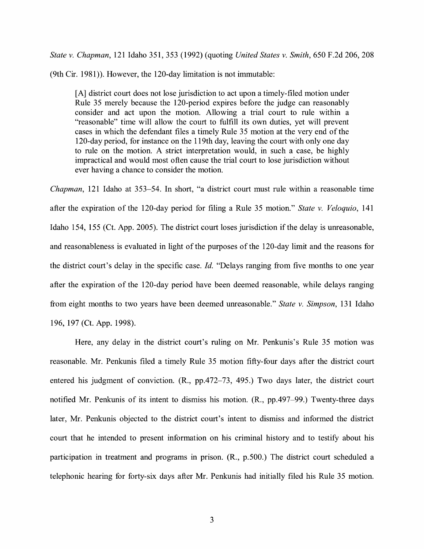*State v. Chapman,* 121 Idaho 351, 353 (1992) (quoting *United States v. Smith,* 650 F.2d 206, 208

(9th Cir. 1981)). However, the 120-day limitation is not immutable:

[A] district court does not lose jurisdiction to act upon a timely-filed motion under Rule 35 merely because the 120-period expires before the judge can reasonably consider and act upon the motion. Allowing a trial court to rule within a "reasonable" time will allow the court to fulfill its own duties, yet will prevent cases in which the defendant files a timely Rule 35 motion at the very end of the 120-day period, for instance on the 119th day, leaving the court with only one day to rule on the motion. A strict interpretation would, in such a case, be highly impractical and would most often cause the trial court to lose jurisdiction without ever having a chance to consider the motion.

*Chapman,* 121 Idaho at 353-54. In short, "a district court must rule within a reasonable time after the expiration of the 120-day period for filing a Rule 35 motion." *State v. Veloquio,* 141 Idaho 154, 155 (Ct. App. 2005). The district court loses jurisdiction if the delay is unreasonable, and reasonableness is evaluated in light of the purposes of the 120-day limit and the reasons for the district court's delay in the specific case. *Id.* "Delays ranging from five months to one year after the expiration of the 120-day period have been deemed reasonable, while delays ranging from eight months to two years have been deemed unreasonable." *State v. Simpson,* 131 Idaho 196, 197 (Ct. App. 1998).

Here, any delay in the district court's ruling on Mr. Penkunis's Rule 35 motion was reasonable. Mr. Penkunis filed a timely Rule 35 motion fifty-four days after the district court entered his judgment of conviction. **(R.,** pp.472-73, 495.) Two days later, the district court notified Mr. Penkunis of its intent to dismiss his motion. **(R.,** pp.497-99.) Twenty-three days later, Mr. Penkunis objected to the district court's intent to dismiss and informed the district court that he intended to present information on his criminal history and to testify about his participation in treatment and programs in prison. **(R.,** p.500.) The district court scheduled a telephonic hearing for forty-six days after Mr. Penkunis had initially filed his Rule 35 motion.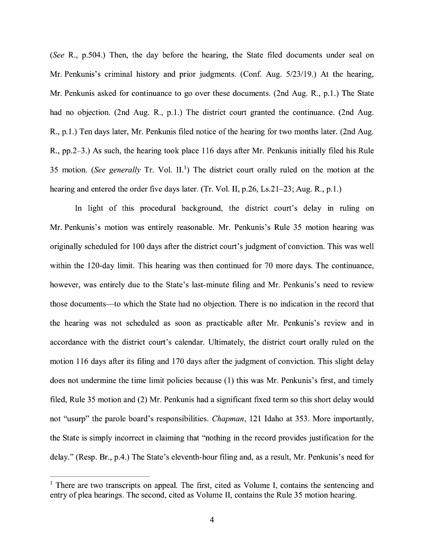*(See* R., p.504.) Then, the day before the hearing, the State filed documents under seal on Mr. Penkunis's criminal history and prior judgments. (Conf. Aug. 5/23/19.) At the hearing, Mr. Penkunis asked for continuance to go over these documents. (2nd Aug. R., p.1.) The State had no objection. (2nd Aug. R., p.1.) The district court granted the continuance. (2nd Aug. R., p.1.) Ten days later, Mr. Penkunis filed notice of the hearing for two months later. (2nd Aug. R., pp.2-3.) As such, the hearing took place 116 days after Mr. Penkunis initially filed his Rule 35 motion. *(See generally* Tr. Vol. II.<sup>1</sup>) The district court orally ruled on the motion at the hearing and entered the order five days later. (Tr. Vol. II, p.26, Ls.21–23; Aug. R., p.1.)

In light of this procedural background, the district court's delay in ruling on Mr. Penkunis's motion was entirely reasonable. Mr. Penkunis's Rule 35 motion hearing was originally scheduled for 100 days after the district court's judgment of conviction. This was well within the 120-day limit. This hearing was then continued for 70 more days. The continuance, however, was entirely due to the State's last-minute filing and Mr. Penkunis's need to review those documents-to which the State had no objection. There is no indication in the record that the hearing was not scheduled as soon as practicable after Mr. Penkunis's review and in accordance with the district court's calendar. Ultimately, the district court orally ruled on the motion 116 days after its filing and 170 days after the judgment of conviction. This slight delay does not undermine the time limit policies because (1) this was Mr. Penkunis's first, and timely filed, Rule 35 motion and (2) Mr. Penkunis had a significant fixed term so this short delay would not "usurp" the parole board's responsibilities. *Chapman,* 121 Idaho at 353. More importantly, the State is simply incorrect in claiming that "nothing in the record provides justification for the delay." (Resp. Br., p.4.) The State's eleventh-hour filing and, as a result, Mr. Penkunis's need for

 $<sup>1</sup>$  There are two transcripts on appeal. The first, cited as Volume I, contains the sentencing and</sup> entry of plea hearings. The second, cited as Volume II, contains the Rule 35 motion hearing.